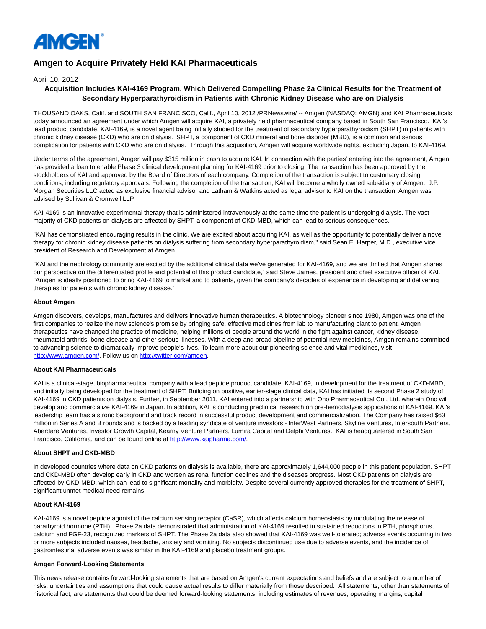

# **Amgen to Acquire Privately Held KAI Pharmaceuticals**

April 10, 2012

## **Acquisition Includes KAI-4169 Program, Which Delivered Compelling Phase 2a Clinical Results for the Treatment of Secondary Hyperparathyroidism in Patients with Chronic Kidney Disease who are on Dialysis**

THOUSAND OAKS, Calif. and SOUTH SAN FRANCISCO, Calif., April 10, 2012 /PRNewswire/ -- Amgen (NASDAQ: AMGN) and KAI Pharmaceuticals today announced an agreement under which Amgen will acquire KAI, a privately held pharmaceutical company based in South San Francisco. KAI's lead product candidate, KAI-4169, is a novel agent being initially studied for the treatment of secondary hyperparathyroidism (SHPT) in patients with chronic kidney disease (CKD) who are on dialysis. SHPT, a component of CKD mineral and bone disorder (MBD), is a common and serious complication for patients with CKD who are on dialysis. Through this acquisition, Amgen will acquire worldwide rights, excluding Japan, to KAI-4169.

Under terms of the agreement, Amgen will pay \$315 million in cash to acquire KAI. In connection with the parties' entering into the agreement, Amgen has provided a loan to enable Phase 3 clinical development planning for KAI-4169 prior to closing. The transaction has been approved by the stockholders of KAI and approved by the Board of Directors of each company. Completion of the transaction is subject to customary closing conditions, including regulatory approvals. Following the completion of the transaction, KAI will become a wholly owned subsidiary of Amgen. J.P. Morgan Securities LLC acted as exclusive financial advisor and Latham & Watkins acted as legal advisor to KAI on the transaction. Amgen was advised by Sullivan & Cromwell LLP.

KAI-4169 is an innovative experimental therapy that is administered intravenously at the same time the patient is undergoing dialysis. The vast majority of CKD patients on dialysis are affected by SHPT, a component of CKD-MBD, which can lead to serious consequences.

"KAI has demonstrated encouraging results in the clinic. We are excited about acquiring KAI, as well as the opportunity to potentially deliver a novel therapy for chronic kidney disease patients on dialysis suffering from secondary hyperparathyroidism," said Sean E. Harper, M.D., executive vice president of Research and Development at Amgen.

"KAI and the nephrology community are excited by the additional clinical data we've generated for KAI-4169, and we are thrilled that Amgen shares our perspective on the differentiated profile and potential of this product candidate," said Steve James, president and chief executive officer of KAI. "Amgen is ideally positioned to bring KAI-4169 to market and to patients, given the company's decades of experience in developing and delivering therapies for patients with chronic kidney disease."

## **About Amgen**

Amgen discovers, develops, manufactures and delivers innovative human therapeutics. A biotechnology pioneer since 1980, Amgen was one of the first companies to realize the new science's promise by bringing safe, effective medicines from lab to manufacturing plant to patient. Amgen therapeutics have changed the practice of medicine, helping millions of people around the world in the fight against cancer, kidney disease, rheumatoid arthritis, bone disease and other serious illnesses. With a deep and broad pipeline of potential new medicines, Amgen remains committed to advancing science to dramatically improve people's lives. To learn more about our pioneering science and vital medicines, visit [http://www.amgen.com/.](http://www.amgen.com/) Follow us on [http://twitter.com/amgen.](http://twitter.com/amgen)

## **About KAI Pharmaceuticals**

KAI is a clinical-stage, biopharmaceutical company with a lead peptide product candidate, KAI-4169, in development for the treatment of CKD-MBD, and initially being developed for the treatment of SHPT. Building on positive, earlier-stage clinical data, KAI has initiated its second Phase 2 study of KAI-4169 in CKD patients on dialysis. Further, in September 2011, KAI entered into a partnership with Ono Pharmaceutical Co., Ltd. wherein Ono will develop and commercialize KAI-4169 in Japan. In addition, KAI is conducting preclinical research on pre-hemodialysis applications of KAI-4169. KAI's leadership team has a strong background and track record in successful product development and commercialization. The Company has raised \$63 million in Series A and B rounds and is backed by a leading syndicate of venture investors - InterWest Partners, Skyline Ventures, Intersouth Partners, Aberdare Ventures, Investor Growth Capital, Kearny Venture Partners, Lumira Capital and Delphi Ventures. KAI is headquartered in South San Francisco, California, and can be found online a[t http://www.kaipharma.com/.](http://www.kaipharma.com/)

## **About SHPT and CKD-MBD**

In developed countries where data on CKD patients on dialysis is available, there are approximately 1,644,000 people in this patient population. SHPT and CKD-MBD often develop early in CKD and worsen as renal function declines and the diseases progress. Most CKD patients on dialysis are affected by CKD-MBD, which can lead to significant mortality and morbidity. Despite several currently approved therapies for the treatment of SHPT, significant unmet medical need remains.

#### **About KAI-4169**

KAI-4169 is a novel peptide agonist of the calcium sensing receptor (CaSR), which affects calcium homeostasis by modulating the release of parathyroid hormone (PTH). Phase 2a data demonstrated that administration of KAI-4169 resulted in sustained reductions in PTH, phosphorus, calcium and FGF-23, recognized markers of SHPT. The Phase 2a data also showed that KAI-4169 was well-tolerated; adverse events occurring in two or more subjects included nausea, headache, anxiety and vomiting. No subjects discontinued use due to adverse events, and the incidence of gastrointestinal adverse events was similar in the KAI-4169 and placebo treatment groups.

#### **Amgen Forward-Looking Statements**

This news release contains forward-looking statements that are based on Amgen's current expectations and beliefs and are subject to a number of risks, uncertainties and assumptions that could cause actual results to differ materially from those described. All statements, other than statements of historical fact, are statements that could be deemed forward-looking statements, including estimates of revenues, operating margins, capital